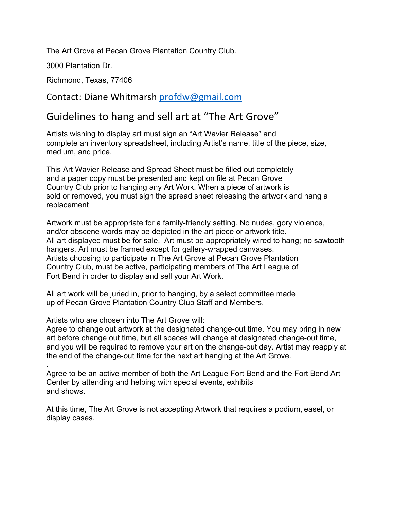The Art Grove at Pecan Grove Plantation Country Club.

3000 Plantation Dr.

Richmond, Texas, 77406

Contact: Diane Whitmarsh profdw@gmail.com

## Guidelines to hang and sell art at "The Art Grove"

Artists wishing to display art must sign an "Art Wavier Release" and complete an inventory spreadsheet, including Artist's name, title of the piece, size, medium, and price.

This Art Wavier Release and Spread Sheet must be filled out completely and a paper copy must be presented and kept on file at Pecan Grove Country Club prior to hanging any Art Work. When a piece of artwork is sold or removed, you must sign the spread sheet releasing the artwork and hang a replacement

Artwork must be appropriate for a family-friendly setting. No nudes, gory violence, and/or obscene words may be depicted in the art piece or artwork title. All art displayed must be for sale. Art must be appropriately wired to hang; no sawtooth hangers. Art must be framed except for gallery-wrapped canvases. Artists choosing to participate in The Art Grove at Pecan Grove Plantation Country Club, must be active, participating members of The Art League of Fort Bend in order to display and sell your Art Work.

All art work will be juried in, prior to hanging, by a select committee made up of Pecan Grove Plantation Country Club Staff and Members.

Artists who are chosen into The Art Grove will:

Agree to change out artwork at the designated change-out time. You may bring in new art before change out time, but all spaces will change at designated change-out time, and you will be required to remove your art on the change-out day. Artist may reapply at the end of the change-out time for the next art hanging at the Art Grove.

Agree to be an active member of both the Art League Fort Bend and the Fort Bend Art Center by attending and helping with special events, exhibits and shows.

At this time, The Art Grove is not accepting Artwork that requires a podium, easel, or display cases.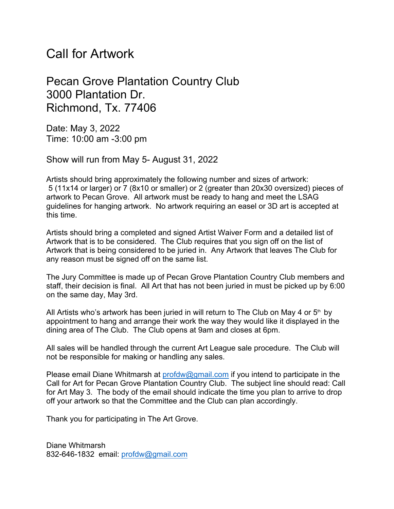## Call for Artwork

## Pecan Grove Plantation Country Club 3000 Plantation Dr. Richmond, Tx. 77406

Date: May 3, 2022 Time: 10:00 am -3:00 pm

Show will run from May 5- August 31, 2022

Artists should bring approximately the following number and sizes of artwork: 5 (11x14 or larger) or 7 (8x10 or smaller) or 2 (greater than 20x30 oversized) pieces of artwork to Pecan Grove. All artwork must be ready to hang and meet the LSAG guidelines for hanging artwork. No artwork requiring an easel or 3D art is accepted at this time.

Artists should bring a completed and signed Artist Waiver Form and a detailed list of Artwork that is to be considered. The Club requires that you sign off on the list of Artwork that is being considered to be juried in. Any Artwork that leaves The Club for any reason must be signed off on the same list.

The Jury Committee is made up of Pecan Grove Plantation Country Club members and staff, their decision is final. All Art that has not been juried in must be picked up by 6:00 on the same day, May 3rd.

All Artists who's artwork has been juried in will return to The Club on May 4 or  $5<sup>th</sup>$  by appointment to hang and arrange their work the way they would like it displayed in the dining area of The Club. The Club opens at 9am and closes at 6pm.

All sales will be handled through the current Art League sale procedure. The Club will not be responsible for making or handling any sales.

Please email Diane Whitmarsh at profdw@gmail.com if you intend to participate in the Call for Art for Pecan Grove Plantation Country Club. The subject line should read: Call for Art May 3. The body of the email should indicate the time you plan to arrive to drop off your artwork so that the Committee and the Club can plan accordingly.

Thank you for participating in The Art Grove.

Diane Whitmarsh 832-646-1832 email: profdw@gmail.com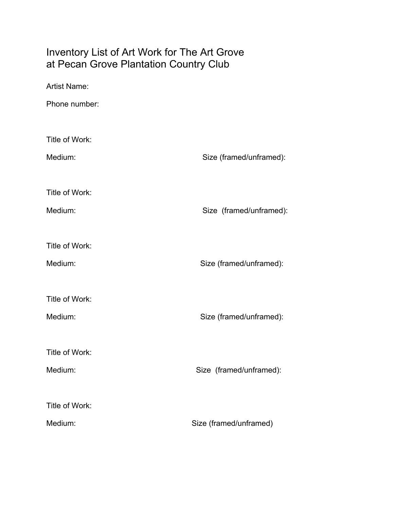## Inventory List of Art Work for The Art Grove at Pecan Grove Plantation Country Club

| <b>Artist Name:</b> |                         |  |  |  |
|---------------------|-------------------------|--|--|--|
| Phone number:       |                         |  |  |  |
| Title of Work:      |                         |  |  |  |
| Medium:             | Size (framed/unframed): |  |  |  |
|                     |                         |  |  |  |
| Title of Work:      |                         |  |  |  |
| Medium:             | Size (framed/unframed): |  |  |  |
|                     |                         |  |  |  |
| Title of Work:      |                         |  |  |  |
| Medium:             | Size (framed/unframed): |  |  |  |
|                     |                         |  |  |  |
| Title of Work:      |                         |  |  |  |
| Medium:             | Size (framed/unframed): |  |  |  |
|                     |                         |  |  |  |
| Title of Work:      |                         |  |  |  |
| Medium:             | Size (framed/unframed): |  |  |  |
|                     |                         |  |  |  |
| Title of Work:      |                         |  |  |  |
| Medium:             | Size (framed/unframed)  |  |  |  |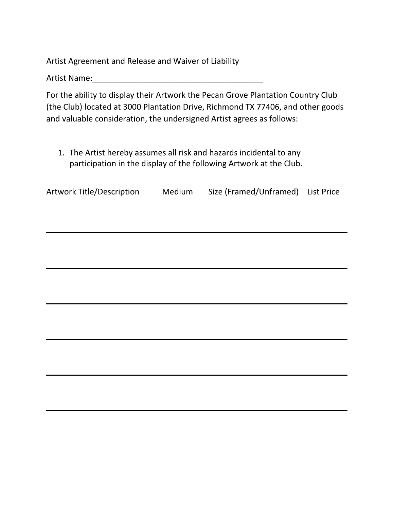Artist Agreement and Release and Waiver of Liability

Artist Name:

For the ability to display their Artwork the Pecan Grove Plantation Country Club (the Club) located at 3000 Plantation Drive, Richmond TX 77406, and other goods and valuable consideration, the undersigned Artist agrees as follows:

 1. The Artist hereby assumes all risk and hazards incidental to any participation in the display of the following Artwork at the Club.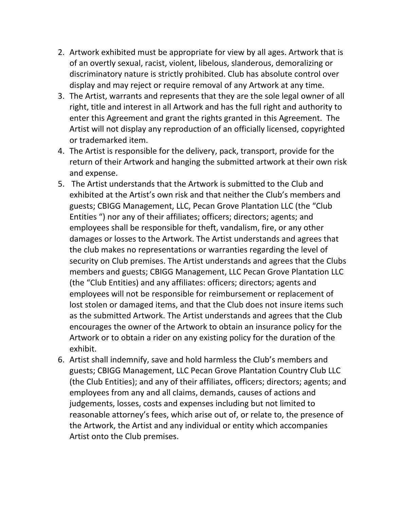- 2. Artwork exhibited must be appropriate for view by all ages. Artwork that is of an overtly sexual, racist, violent, libelous, slanderous, demoralizing or discriminatory nature is strictly prohibited. Club has absolute control over display and may reject or require removal of any Artwork at any time.
- 3. The Artist, warrants and represents that they are the sole legal owner of all right, title and interest in all Artwork and has the full right and authority to enter this Agreement and grant the rights granted in this Agreement. The Artist will not display any reproduction of an officially licensed, copyrighted or trademarked item.
- 4. The Artist is responsible for the delivery, pack, transport, provide for the return of their Artwork and hanging the submitted artwork at their own risk and expense.
- 5. The Artist understands that the Artwork is submitted to the Club and exhibited at the Artist's own risk and that neither the Club's members and guests; CBIGG Management, LLC, Pecan Grove Plantation LLC (the "Club Entities ") nor any of their affiliates; officers; directors; agents; and employees shall be responsible for theft, vandalism, fire, or any other damages or losses to the Artwork. The Artist understands and agrees that the club makes no representations or warranties regarding the level of security on Club premises. The Artist understands and agrees that the Clubs members and guests; CBIGG Management, LLC Pecan Grove Plantation LLC (the "Club Entities) and any affiliates: officers; directors; agents and employees will not be responsible for reimbursement or replacement of lost stolen or damaged items, and that the Club does not insure items such as the submitted Artwork. The Artist understands and agrees that the Club encourages the owner of the Artwork to obtain an insurance policy for the Artwork or to obtain a rider on any existing policy for the duration of the exhibit.
- 6. Artist shall indemnify, save and hold harmless the Club's members and guests; CBIGG Management, LLC Pecan Grove Plantation Country Club LLC (the Club Entities); and any of their affiliates, officers; directors; agents; and employees from any and all claims, demands, causes of actions and judgements, losses, costs and expenses including but not limited to reasonable attorney's fees, which arise out of, or relate to, the presence of the Artwork, the Artist and any individual or entity which accompanies Artist onto the Club premises.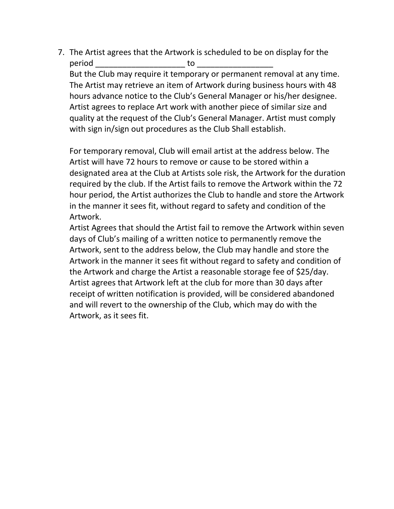7. The Artist agrees that the Artwork is scheduled to be on display for the period \_\_\_\_\_\_\_\_\_\_\_\_\_\_\_\_\_\_\_\_ to \_\_\_\_\_\_\_\_\_\_\_\_\_\_\_\_\_ But the Club may require it temporary or permanent removal at any time. The Artist may retrieve an item of Artwork during business hours with 48 hours advance notice to the Club's General Manager or his/her designee. Artist agrees to replace Art work with another piece of similar size and quality at the request of the Club's General Manager. Artist must comply with sign in/sign out procedures as the Club Shall establish.

For temporary removal, Club will email artist at the address below. The Artist will have 72 hours to remove or cause to be stored within a designated area at the Club at Artists sole risk, the Artwork for the duration required by the club. If the Artist fails to remove the Artwork within the 72 hour period, the Artist authorizes the Club to handle and store the Artwork in the manner it sees fit, without regard to safety and condition of the Artwork.

Artist Agrees that should the Artist fail to remove the Artwork within seven days of Club's mailing of a written notice to permanently remove the Artwork, sent to the address below, the Club may handle and store the Artwork in the manner it sees fit without regard to safety and condition of the Artwork and charge the Artist a reasonable storage fee of \$25/day. Artist agrees that Artwork left at the club for more than 30 days after receipt of written notification is provided, will be considered abandoned and will revert to the ownership of the Club, which may do with the Artwork, as it sees fit.